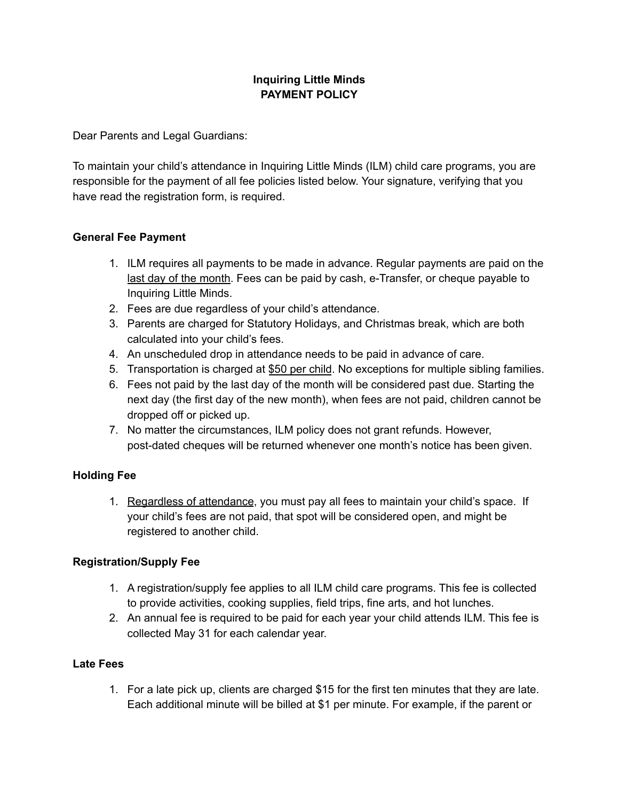## **Inquiring Little Minds PAYMENT POLICY**

Dear Parents and Legal Guardians:

To maintain your child's attendance in Inquiring Little Minds (ILM) child care programs, you are responsible for the payment of all fee policies listed below. Your signature, verifying that you have read the registration form, is required.

### **General Fee Payment**

- 1. ILM requires all payments to be made in advance. Regular payments are paid on the last day of the month. Fees can be paid by cash, e-Transfer, or cheque payable to Inquiring Little Minds.
- 2. Fees are due regardless of your child's attendance.
- 3. Parents are charged for Statutory Holidays, and Christmas break, which are both calculated into your child's fees.
- 4. An unscheduled drop in attendance needs to be paid in advance of care.
- 5. Transportation is charged at \$50 per child. No exceptions for multiple sibling families.
- 6. Fees not paid by the last day of the month will be considered past due. Starting the next day (the first day of the new month), when fees are not paid, children cannot be dropped off or picked up.
- 7. No matter the circumstances, ILM policy does not grant refunds. However, post-dated cheques will be returned whenever one month's notice has been given.

### **Holding Fee**

1. Regardless of attendance, you must pay all fees to maintain your child's space. If your child's fees are not paid, that spot will be considered open, and might be registered to another child.

### **Registration/Supply Fee**

- 1. A registration/supply fee applies to all ILM child care programs. This fee is collected to provide activities, cooking supplies, field trips, fine arts, and hot lunches.
- 2. An annual fee is required to be paid for each year your child attends ILM. This fee is collected May 31 for each calendar year.

### **Late Fees**

1. For a late pick up, clients are charged \$15 for the first ten minutes that they are late. Each additional minute will be billed at \$1 per minute. For example, if the parent or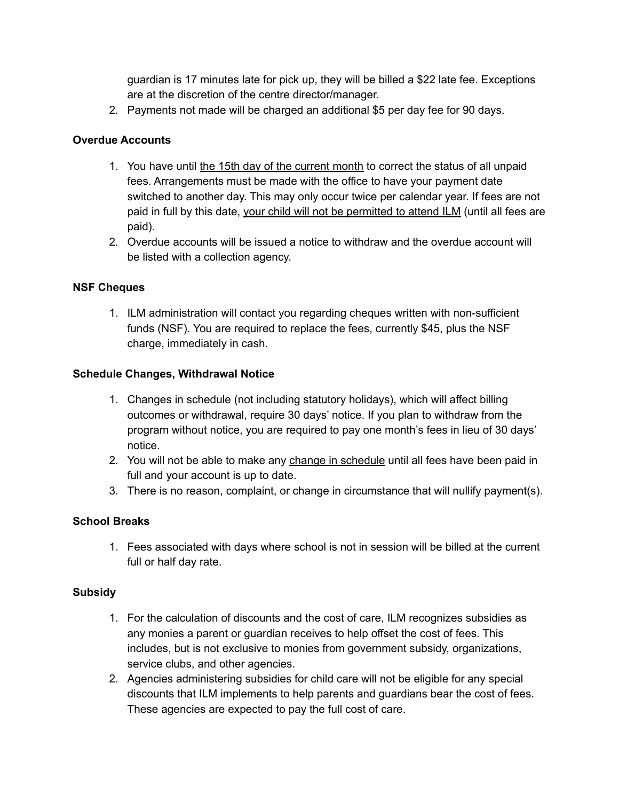guardian is 17 minutes late for pick up, they will be billed a \$22 late fee. Exceptions are at the discretion of the centre director/manager.

2. Payments not made will be charged an additional \$5 per day fee for 90 days.

### **Overdue Accounts**

- 1. You have until the 15th day of the current month to correct the status of all unpaid fees. Arrangements must be made with the office to have your payment date switched to another day. This may only occur twice per calendar year. If fees are not paid in full by this date, your child will not be permitted to attend ILM (until all fees are paid).
- 2. Overdue accounts will be issued a notice to withdraw and the overdue account will be listed with a collection agency.

### **NSF Cheques**

1. ILM administration will contact you regarding cheques written with non-sufficient funds (NSF). You are required to replace the fees, currently \$45, plus the NSF charge, immediately in cash.

### **Schedule Changes, Withdrawal Notice**

- 1. Changes in schedule (not including statutory holidays), which will affect billing outcomes or withdrawal, require 30 days' notice. If you plan to withdraw from the program without notice, you are required to pay one month's fees in lieu of 30 days' notice.
- 2. You will not be able to make any change in schedule until all fees have been paid in full and your account is up to date.
- 3. There is no reason, complaint, or change in circumstance that will nullify payment(s).

### **School Breaks**

1. Fees associated with days where school is not in session will be billed at the current full or half day rate.

### **Subsidy**

- 1. For the calculation of discounts and the cost of care, ILM recognizes subsidies as any monies a parent or guardian receives to help offset the cost of fees. This includes, but is not exclusive to monies from government subsidy, organizations, service clubs, and other agencies.
- 2. Agencies administering subsidies for child care will not be eligible for any special discounts that ILM implements to help parents and guardians bear the cost of fees. These agencies are expected to pay the full cost of care.